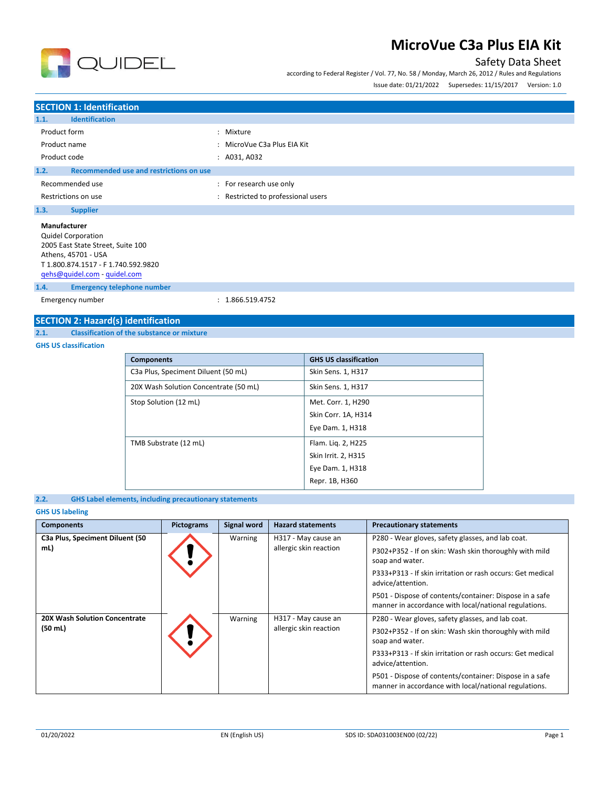

### Safety Data Sheet

according to Federal Register / Vol. 77, No. 58 / Monday, March 26, 2012 / Rules and Regulations  $I_{2}$   $I_{3}$   $I_{4}$   $I_{2}$   $I_{3}$   $I_{4}$   $I_{5}$   $I_{7}$   $I_{8}$   $I_{9}$   $I_{10}$   $I_{11}$   $I_{10}$   $I_{11}$   $I_{10}$   $I_{11}$   $I_{10}$   $I_{11}$   $I_{10}$   $I_{11}$   $I_{10}$   $I_{11}$   $I_{10}$   $I_{11}$   $I_{10}$   $I_{11}$   $I_{10}$   $I_{11}$   $I_{10}$ 

| ISSUE date: 01/21/2022 | Supersedes: 11/15/2017 | version: 1.0 |  |
|------------------------|------------------------|--------------|--|
|                        |                        |              |  |
|                        |                        |              |  |

### **SECTION 1: Identification 1.1. Identification** Product form  $\qquad \qquad : \qquad$  Mixture Product name  $\qquad \qquad$ : MicroVue C3a Plus EIA Kit Product code : A031, A032 **1.2. Recommended use and restrictions on use** Recommended use  $\blacksquare$ : For research use only Restrictions on use **interest in the CO** and Restricted to professional users **1.3. Supplier Manufacturer** Quidel Corporation 2005 East State Street, Suite 100 Athens, 45701 - USA T 1.800.874.1517 - F 1.740.592.9820 [qehs@quidel.com](mailto:qehs@quidel.com) - [quidel.com](http://quidel.com/) **1.4. Emergency telephone number** Emergency number : 1.866.519.4752

### **SECTION 2: Hazard(s) identification**

**2.1. Classification of the substance or mixture**

#### **GHS US classification**

| <b>Components</b>                     | <b>GHS US classification</b> |
|---------------------------------------|------------------------------|
| C3a Plus, Speciment Diluent (50 mL)   | Skin Sens. 1, H317           |
| 20X Wash Solution Concentrate (50 mL) | Skin Sens. 1, H317           |
| Stop Solution (12 mL)                 | Met. Corr. 1, H290           |
|                                       | Skin Corr. 1A, H314          |
|                                       | Eye Dam. 1, H318             |
| TMB Substrate (12 mL)                 | Flam. Lig. 2, H225           |
|                                       | Skin Irrit. 2, H315          |
|                                       | Eye Dam. 1, H318             |
|                                       | Repr. 1B, H360               |

#### **2.2. GHS Label elements, including precautionary statements**

#### **GHS US labeling**

| <b>Components</b>                                         | <b>Pictograms</b> | Signal word | <b>Hazard statements</b>                      | <b>Precautionary statements</b>                                                                                                                                                                                                                                                                                                       |
|-----------------------------------------------------------|-------------------|-------------|-----------------------------------------------|---------------------------------------------------------------------------------------------------------------------------------------------------------------------------------------------------------------------------------------------------------------------------------------------------------------------------------------|
| C3a Plus, Speciment Diluent (50<br>mL)                    |                   | Warning     | H317 - May cause an<br>allergic skin reaction | P280 - Wear gloves, safety glasses, and lab coat.<br>P302+P352 - If on skin: Wash skin thoroughly with mild<br>soap and water.<br>P333+P313 - If skin irritation or rash occurs: Get medical<br>advice/attention.<br>P501 - Dispose of contents/container: Dispose in a safe<br>manner in accordance with local/national regulations. |
| <b>20X Wash Solution Concentrate</b><br>$(50 \text{ mL})$ |                   | Warning     | H317 - May cause an<br>allergic skin reaction | P280 - Wear gloves, safety glasses, and lab coat.<br>P302+P352 - If on skin: Wash skin thoroughly with mild<br>soap and water.<br>P333+P313 - If skin irritation or rash occurs: Get medical<br>advice/attention.<br>P501 - Dispose of contents/container: Dispose in a safe<br>manner in accordance with local/national regulations. |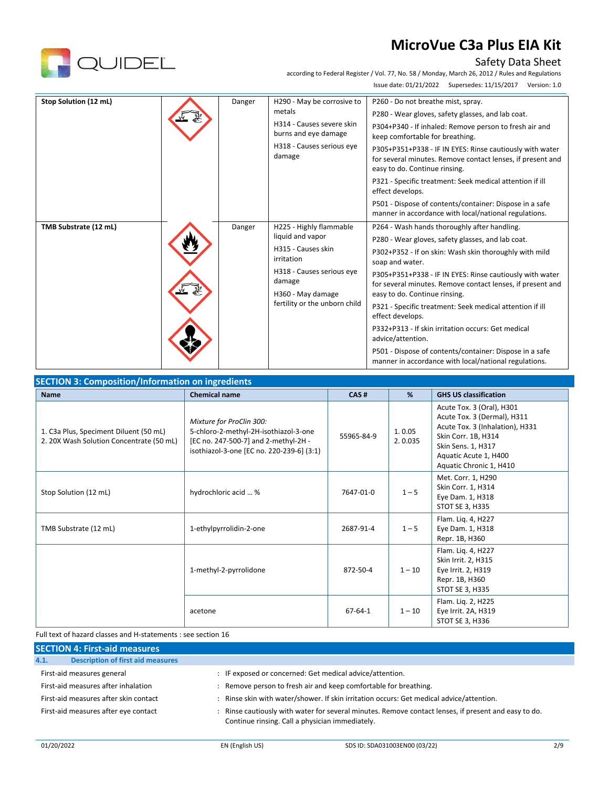

### Safety Data Sheet

according to Federal Register / Vol. 77, No. 58 / Monday, March 26, 2012 / Rules and Regulations Issue date: 01/21/2022 Supersedes: 11/15/2017 Version: 1.0

| Stop Solution (12 mL) | Danger | H290 - May be corrosive to<br>metals<br>H314 - Causes severe skin<br>burns and eye damage<br>H318 - Causes serious eye<br>damage                                             | P260 - Do not breathe mist, spray.<br>P280 - Wear gloves, safety glasses, and lab coat.<br>P304+P340 - If inhaled: Remove person to fresh air and<br>keep comfortable for breathing.<br>P305+P351+P338 - IF IN EYES: Rinse cautiously with water<br>for several minutes. Remove contact lenses, if present and<br>easy to do. Continue rinsing.<br>P321 - Specific treatment: Seek medical attention if ill<br>effect develops.<br>P501 - Dispose of contents/container: Dispose in a safe<br>manner in accordance with local/national regulations.                                                                      |
|-----------------------|--------|------------------------------------------------------------------------------------------------------------------------------------------------------------------------------|--------------------------------------------------------------------------------------------------------------------------------------------------------------------------------------------------------------------------------------------------------------------------------------------------------------------------------------------------------------------------------------------------------------------------------------------------------------------------------------------------------------------------------------------------------------------------------------------------------------------------|
| TMB Substrate (12 mL) | Danger | H225 - Highly flammable<br>liquid and vapor<br>H315 - Causes skin<br>irritation<br>H318 - Causes serious eye<br>damage<br>H360 - May damage<br>fertility or the unborn child | P264 - Wash hands thoroughly after handling.<br>P280 - Wear gloves, safety glasses, and lab coat.<br>P302+P352 - If on skin: Wash skin thoroughly with mild<br>soap and water.<br>P305+P351+P338 - IF IN EYES: Rinse cautiously with water<br>for several minutes. Remove contact lenses, if present and<br>easy to do. Continue rinsing.<br>P321 - Specific treatment: Seek medical attention if ill<br>effect develops.<br>P332+P313 - If skin irritation occurs: Get medical<br>advice/attention.<br>P501 - Dispose of contents/container: Dispose in a safe<br>manner in accordance with local/national regulations. |

| <b>Name</b>                                                                        | <b>Chemical name</b>                                                                                                                                   | CAS#          | %                 | <b>GHS US classification</b>                                                                                                                                                                 |
|------------------------------------------------------------------------------------|--------------------------------------------------------------------------------------------------------------------------------------------------------|---------------|-------------------|----------------------------------------------------------------------------------------------------------------------------------------------------------------------------------------------|
| 1. C3a Plus, Speciment Diluent (50 mL)<br>2. 20X Wash Solution Concentrate (50 mL) | Mixture for ProClin 300:<br>5-chloro-2-methyl-2H-isothiazol-3-one<br>[EC no. 247-500-7] and 2-methyl-2H -<br>isothiazol-3-one [EC no. 220-239-6] (3:1) | 55965-84-9    | 1.0.05<br>2.0.035 | Acute Tox. 3 (Oral), H301<br>Acute Tox. 3 (Dermal), H311<br>Acute Tox. 3 (Inhalation), H331<br>Skin Corr. 1B, H314<br>Skin Sens. 1, H317<br>Aquatic Acute 1, H400<br>Aquatic Chronic 1, H410 |
| Stop Solution (12 mL)                                                              | hydrochloric acid  %                                                                                                                                   | 7647-01-0     | $1 - 5$           | Met. Corr. 1, H290<br>Skin Corr. 1, H314<br>Eye Dam. 1, H318<br>STOT SE 3, H335                                                                                                              |
| TMB Substrate (12 mL)                                                              | 1-ethylpyrrolidin-2-one                                                                                                                                | 2687-91-4     | $1 - 5$           | Flam. Liq. 4, H227<br>Eye Dam. 1, H318<br>Repr. 1B, H360                                                                                                                                     |
|                                                                                    | 1-methyl-2-pyrrolidone                                                                                                                                 | 872-50-4      | $1 - 10$          | Flam. Liq. 4, H227<br>Skin Irrit. 2, H315<br>Eye Irrit. 2, H319<br>Repr. 1B, H360<br>STOT SE 3, H335                                                                                         |
|                                                                                    | acetone                                                                                                                                                | $67 - 64 - 1$ | $1 - 10$          | Flam. Lig. 2, H225<br>Eye Irrit. 2A, H319<br>STOT SE 3, H336                                                                                                                                 |

Full text of hazard classes and H-statements : see section 16

| <b>SECTION 4: First-aid measures</b>             |                                                                                                                                                       |  |  |  |
|--------------------------------------------------|-------------------------------------------------------------------------------------------------------------------------------------------------------|--|--|--|
| <b>Description of first aid measures</b><br>4.1. |                                                                                                                                                       |  |  |  |
| First-aid measures general                       | : IF exposed or concerned: Get medical advice/attention.                                                                                              |  |  |  |
| First-aid measures after inhalation              | Remove person to fresh air and keep comfortable for breathing.                                                                                        |  |  |  |
| First-aid measures after skin contact            | : Rinse skin with water/shower. If skin irritation occurs: Get medical advice/attention.                                                              |  |  |  |
| First-aid measures after eye contact             | Rinse cautiously with water for several minutes. Remove contact lenses, if present and easy to do.<br>Continue rinsing. Call a physician immediately. |  |  |  |

01/20/2022 EN (English US) SDS ID: SDA031003EN00 (03/22) 2/9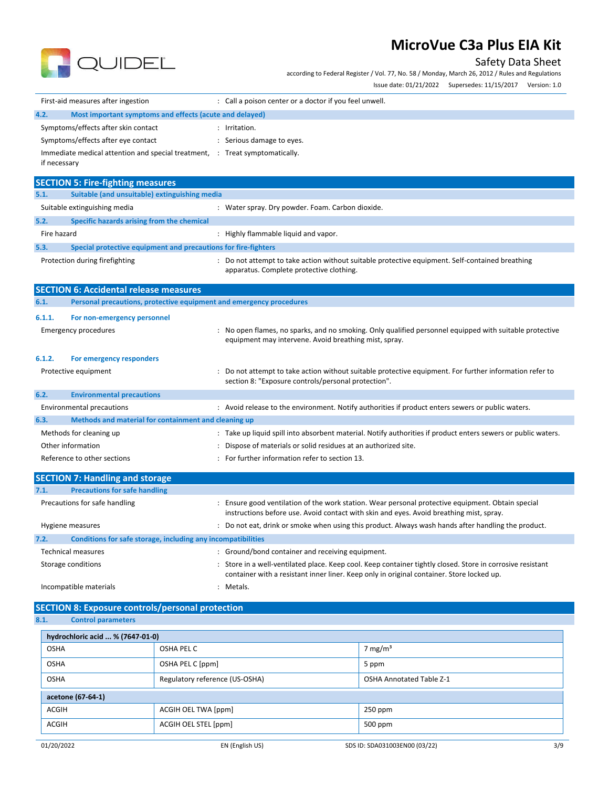

Safety Data Sheet

according to Federal Register / Vol. 77, No. 58 / Monday, March 26, 2012 / Rules and Regulations

|                                                                             | Issue date: 01/21/2022 Supersedes: 11/15/2017 Version: 1.0                                                                                                                                              |
|-----------------------------------------------------------------------------|---------------------------------------------------------------------------------------------------------------------------------------------------------------------------------------------------------|
| First-aid measures after ingestion                                          | : Call a poison center or a doctor if you feel unwell.                                                                                                                                                  |
| Most important symptoms and effects (acute and delayed)<br>4.2.             |                                                                                                                                                                                                         |
| Symptoms/effects after skin contact                                         | : Irritation.                                                                                                                                                                                           |
| Symptoms/effects after eye contact                                          | : Serious damage to eyes.                                                                                                                                                                               |
| Immediate medical attention and special treatment, : Treat symptomatically. |                                                                                                                                                                                                         |
| if necessary                                                                |                                                                                                                                                                                                         |
| <b>SECTION 5: Fire-fighting measures</b>                                    |                                                                                                                                                                                                         |
| 5.1.<br>Suitable (and unsuitable) extinguishing media                       |                                                                                                                                                                                                         |
| Suitable extinguishing media                                                | : Water spray. Dry powder. Foam. Carbon dioxide.                                                                                                                                                        |
| 5.2.<br>Specific hazards arising from the chemical                          |                                                                                                                                                                                                         |
| Fire hazard                                                                 | : Highly flammable liquid and vapor.                                                                                                                                                                    |
| 5.3.<br>Special protective equipment and precautions for fire-fighters      |                                                                                                                                                                                                         |
| Protection during firefighting                                              | : Do not attempt to take action without suitable protective equipment. Self-contained breathing<br>apparatus. Complete protective clothing.                                                             |
| <b>SECTION 6: Accidental release measures</b>                               |                                                                                                                                                                                                         |
| Personal precautions, protective equipment and emergency procedures<br>6.1. |                                                                                                                                                                                                         |
| 6.1.1.<br>For non-emergency personnel                                       |                                                                                                                                                                                                         |
| <b>Emergency procedures</b>                                                 | : No open flames, no sparks, and no smoking. Only qualified personnel equipped with suitable protective                                                                                                 |
|                                                                             | equipment may intervene. Avoid breathing mist, spray.                                                                                                                                                   |
| 6.1.2.<br>For emergency responders                                          |                                                                                                                                                                                                         |
| Protective equipment                                                        | : Do not attempt to take action without suitable protective equipment. For further information refer to                                                                                                 |
|                                                                             | section 8: "Exposure controls/personal protection".                                                                                                                                                     |
| 6.2.<br><b>Environmental precautions</b>                                    |                                                                                                                                                                                                         |
| <b>Environmental precautions</b>                                            | : Avoid release to the environment. Notify authorities if product enters sewers or public waters.                                                                                                       |
| Methods and material for containment and cleaning up<br>6.3.                |                                                                                                                                                                                                         |
| Methods for cleaning up                                                     | : Take up liquid spill into absorbent material. Notify authorities if product enters sewers or public waters.                                                                                           |
| Other information                                                           | Dispose of materials or solid residues at an authorized site.                                                                                                                                           |
| Reference to other sections                                                 | : For further information refer to section 13.                                                                                                                                                          |
| <b>SECTION 7: Handling and storage</b>                                      |                                                                                                                                                                                                         |
| <b>Precautions for safe handling</b><br>7.1.                                |                                                                                                                                                                                                         |
| Precautions for safe handling                                               | : Ensure good ventilation of the work station. Wear personal protective equipment. Obtain special<br>instructions before use. Avoid contact with skin and eyes. Avoid breathing mist, spray.            |
| Hygiene measures                                                            | : Do not eat, drink or smoke when using this product. Always wash hands after handling the product.                                                                                                     |
| Conditions for safe storage, including any incompatibilities<br>7.2.        |                                                                                                                                                                                                         |
| <b>Technical measures</b>                                                   | : Ground/bond container and receiving equipment.                                                                                                                                                        |
| Storage conditions                                                          | : Store in a well-ventilated place. Keep cool. Keep container tightly closed. Store in corrosive resistant<br>container with a resistant inner liner. Keep only in original container. Store locked up. |
| Incompatible materials                                                      | : Metals.                                                                                                                                                                                               |

# **SECTION 8: Exposure controls/personal protection**<br>8.1. Control parameters

**8.1. Control parameters**

| hydrochloric acid  % (7647-01-0) |                                                                   |                               |     |  |
|----------------------------------|-------------------------------------------------------------------|-------------------------------|-----|--|
| <b>OSHA</b>                      | OSHA PEL C                                                        | 7 mg/m <sup>3</sup>           |     |  |
| <b>OSHA</b>                      | OSHA PEL C [ppm]                                                  | 5 ppm                         |     |  |
| <b>OSHA</b>                      | Regulatory reference (US-OSHA)<br><b>OSHA Annotated Table Z-1</b> |                               |     |  |
| acetone (67-64-1)                |                                                                   |                               |     |  |
| <b>ACGIH</b>                     | ACGIH OEL TWA [ppm]                                               | $250$ ppm                     |     |  |
| <b>ACGIH</b>                     | ACGIH OEL STEL [ppm]                                              | 500 ppm                       |     |  |
| 01/20/2022                       | EN (English US)                                                   | SDS ID: SDA031003EN00 (03/22) | 3/9 |  |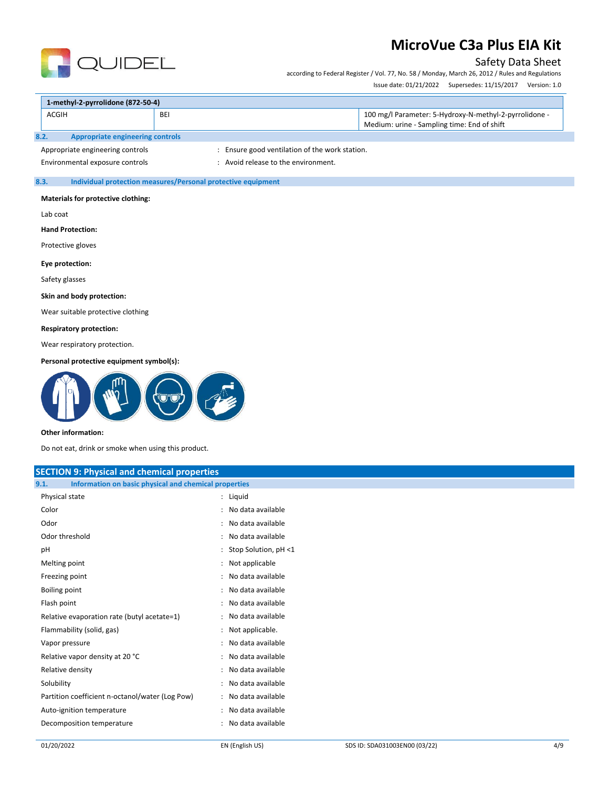### Safety Data Sheet

according to Federal Register / Vol. 77, No. 58 / Monday, March 26, 2012 / Rules and Regulations

Issue date: 01/21/2022 Supersedes: 11/15/2017 Version: 1.0

| 1-methyl-2-pyrrolidone (872-50-4) |            |                                                                                                       |  |
|-----------------------------------|------------|-------------------------------------------------------------------------------------------------------|--|
| <b>ACGIH</b>                      | <b>BEI</b> | 100 mg/l Parameter: 5-Hydroxy-N-methyl-2-pyrrolidone -<br>Medium: urine - Sampling time: End of shift |  |
| Appropriate engineering controls  |            |                                                                                                       |  |

**UIDEL** 

Appropriate engineering controls : Ensure good ventilation of the work station.

Environmental exposure controls example to the environment.

#### **8.3. Individual protection measures/Personal protective equipment**

#### **Materials for protective clothing:**

Lab coat

#### **Hand Protection:**

Protective gloves

#### **Eye protection:**

Safety glasses

#### **Skin and body protection:**

Wear suitable protective clothing

#### **Respiratory protection:**

Wear respiratory protection.

#### **Personal protective equipment symbol(s):**



#### **Other information:**

Do not eat, drink or smoke when using this product.

| <b>SECTION 9: Physical and chemical properties</b>            |                           |  |  |  |
|---------------------------------------------------------------|---------------------------|--|--|--|
| Information on basic physical and chemical properties<br>9.1. |                           |  |  |  |
| Physical state                                                | : Liquid                  |  |  |  |
| Color                                                         | : No data available       |  |  |  |
| Odor                                                          | : No data available       |  |  |  |
| Odor threshold                                                | : No data available       |  |  |  |
| pH                                                            | : Stop Solution, $pH < 1$ |  |  |  |
| Melting point                                                 | : Not applicable          |  |  |  |
| Freezing point                                                | : No data available       |  |  |  |
| Boiling point                                                 | : No data available       |  |  |  |
| Flash point                                                   | : No data available       |  |  |  |
| Relative evaporation rate (butyl acetate=1)                   | : No data available       |  |  |  |
| Flammability (solid, gas)                                     | : Not applicable.         |  |  |  |
| Vapor pressure                                                | : No data available       |  |  |  |
| Relative vapor density at 20 °C                               | : No data available       |  |  |  |
| Relative density                                              | : No data available       |  |  |  |
| Solubility                                                    | : No data available       |  |  |  |
| Partition coefficient n-octanol/water (Log Pow)               | : No data available       |  |  |  |
| Auto-ignition temperature                                     | : No data available       |  |  |  |
| Decomposition temperature                                     | : No data available       |  |  |  |
|                                                               |                           |  |  |  |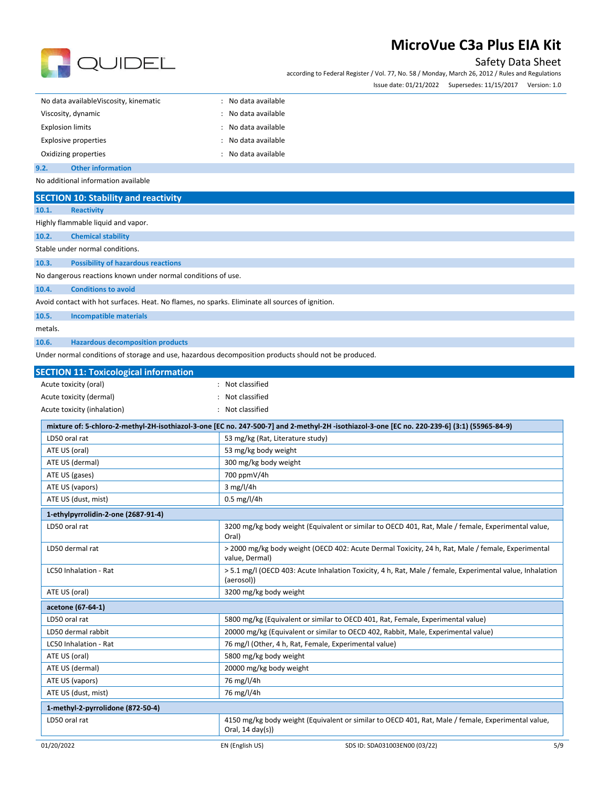

## Safety Data Sheet

according to Federal Register / Vol. 77, No. 58 / Monday, March 26, 2012 / Rules and Regulations Issue date: 01/21/2022 Supersedes: 11/15/2017 Version: 1.0

| No data availableViscosity, kinematic | : No data available |
|---------------------------------------|---------------------|
| Viscosity, dynamic                    | : No data available |
| <b>Explosion limits</b>               | : No data available |
| <b>Explosive properties</b>           | : No data available |
| Oxidizing properties                  | : No data available |
| 9.2.<br><b>Other information</b>      |                     |

No additional information available

| <b>SECTION 10: Stability and reactivity</b>                                                          |                                                                                                                                              |  |  |  |  |  |
|------------------------------------------------------------------------------------------------------|----------------------------------------------------------------------------------------------------------------------------------------------|--|--|--|--|--|
| 10.1.<br><b>Reactivity</b>                                                                           |                                                                                                                                              |  |  |  |  |  |
| Highly flammable liquid and vapor.                                                                   |                                                                                                                                              |  |  |  |  |  |
| 10.2.<br><b>Chemical stability</b>                                                                   |                                                                                                                                              |  |  |  |  |  |
| Stable under normal conditions.                                                                      |                                                                                                                                              |  |  |  |  |  |
| 10.3.<br><b>Possibility of hazardous reactions</b>                                                   |                                                                                                                                              |  |  |  |  |  |
| No dangerous reactions known under normal conditions of use.                                         |                                                                                                                                              |  |  |  |  |  |
| <b>Conditions to avoid</b><br>10.4.                                                                  |                                                                                                                                              |  |  |  |  |  |
| Avoid contact with hot surfaces. Heat. No flames, no sparks. Eliminate all sources of ignition.      |                                                                                                                                              |  |  |  |  |  |
| 10.5.<br><b>Incompatible materials</b>                                                               |                                                                                                                                              |  |  |  |  |  |
| metals.                                                                                              |                                                                                                                                              |  |  |  |  |  |
| 10.6.<br><b>Hazardous decomposition products</b>                                                     |                                                                                                                                              |  |  |  |  |  |
| Under normal conditions of storage and use, hazardous decomposition products should not be produced. |                                                                                                                                              |  |  |  |  |  |
|                                                                                                      |                                                                                                                                              |  |  |  |  |  |
| <b>SECTION 11: Toxicological information</b>                                                         |                                                                                                                                              |  |  |  |  |  |
| Acute toxicity (oral)                                                                                | : Not classified                                                                                                                             |  |  |  |  |  |
| Acute toxicity (dermal)                                                                              | Not classified                                                                                                                               |  |  |  |  |  |
| Acute toxicity (inhalation)                                                                          | : Not classified                                                                                                                             |  |  |  |  |  |
|                                                                                                      | mixture of: 5-chloro-2-methyl-2H-isothiazol-3-one [EC no. 247-500-7] and 2-methyl-2H -isothiazol-3-one [EC no. 220-239-6] (3:1) (55965-84-9) |  |  |  |  |  |
| LD50 oral rat                                                                                        | 53 mg/kg (Rat, Literature study)                                                                                                             |  |  |  |  |  |
| ATE US (oral)                                                                                        | 53 mg/kg body weight                                                                                                                         |  |  |  |  |  |
| ATE US (dermal)                                                                                      | 300 mg/kg body weight                                                                                                                        |  |  |  |  |  |
| ATE US (gases)                                                                                       | 700 ppmV/4h                                                                                                                                  |  |  |  |  |  |
| ATE US (vapors)                                                                                      | 3 mg/l/4h                                                                                                                                    |  |  |  |  |  |
| ATE US (dust, mist)                                                                                  | $0.5 \,\mathrm{mg}/l/4h$                                                                                                                     |  |  |  |  |  |
| 1-ethylpyrrolidin-2-one (2687-91-4)                                                                  |                                                                                                                                              |  |  |  |  |  |
| LD50 oral rat                                                                                        | 3200 mg/kg body weight (Equivalent or similar to OECD 401, Rat, Male / female, Experimental value,<br>Oral)                                  |  |  |  |  |  |
| LD50 dermal rat                                                                                      | > 2000 mg/kg body weight (OECD 402: Acute Dermal Toxicity, 24 h, Rat, Male / female, Experimental<br>value, Dermal)                          |  |  |  |  |  |
| LC50 Inhalation - Rat                                                                                | > 5.1 mg/l (OECD 403: Acute Inhalation Toxicity, 4 h, Rat, Male / female, Experimental value, Inhalation<br>(aerosol))                       |  |  |  |  |  |
| ATE US (oral)                                                                                        | 3200 mg/kg body weight                                                                                                                       |  |  |  |  |  |
| acetone (67-64-1)                                                                                    |                                                                                                                                              |  |  |  |  |  |
| LD50 oral rat                                                                                        | 5800 mg/kg (Equivalent or similar to OECD 401, Rat, Female, Experimental value)                                                              |  |  |  |  |  |
| LD50 dermal rabbit                                                                                   | 20000 mg/kg (Equivalent or similar to OECD 402, Rabbit, Male, Experimental value)                                                            |  |  |  |  |  |
| LC50 Inhalation - Rat                                                                                | 76 mg/l (Other, 4 h, Rat, Female, Experimental value)                                                                                        |  |  |  |  |  |
| ATE US (oral)                                                                                        | 5800 mg/kg body weight                                                                                                                       |  |  |  |  |  |
| ATE US (dermal)                                                                                      | 20000 mg/kg body weight                                                                                                                      |  |  |  |  |  |
| ATE US (vapors)                                                                                      | 76 mg/l/4h                                                                                                                                   |  |  |  |  |  |
| ATE US (dust, mist)                                                                                  | 76 mg/l/4h                                                                                                                                   |  |  |  |  |  |
| 1-methyl-2-pyrrolidone (872-50-4)                                                                    |                                                                                                                                              |  |  |  |  |  |
| LD50 oral rat                                                                                        | 4150 mg/kg body weight (Equivalent or similar to OECD 401, Rat, Male / female, Experimental value,<br>Oral, $14 \text{ day}(s)$              |  |  |  |  |  |
| 01/20/2022                                                                                           | 5/9<br>EN (English US)<br>SDS ID: SDA031003EN00 (03/22)                                                                                      |  |  |  |  |  |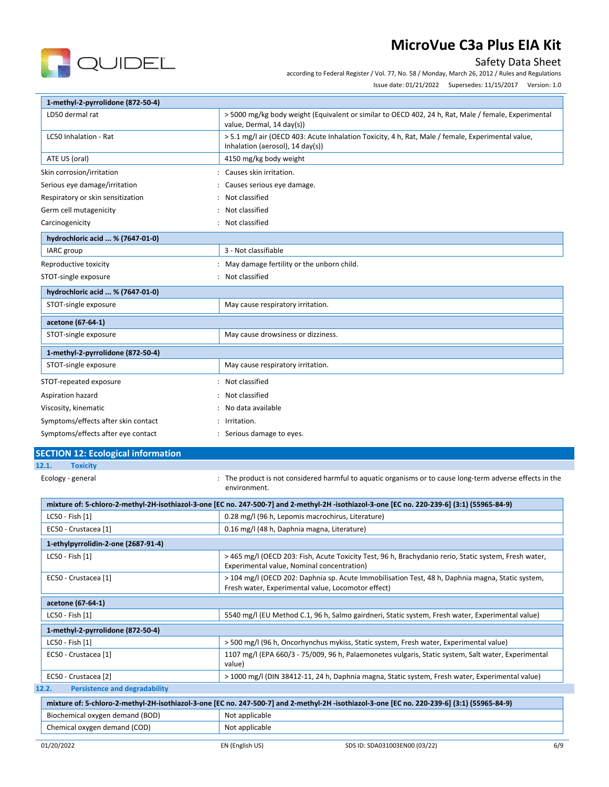

Safety Data Sheet

according to Federal Register / Vol. 77, No. 58 / Monday, March 26, 2012 / Rules and Regulations

Issue date: 01/21/2022 Supersedes: 11/15/2017 Version: 1.0

| 1-methyl-2-pyrrolidone (872-50-4)             |                                                                                                                                                        |  |  |
|-----------------------------------------------|--------------------------------------------------------------------------------------------------------------------------------------------------------|--|--|
| LD50 dermal rat                               | > 5000 mg/kg body weight (Equivalent or similar to OECD 402, 24 h, Rat, Male / female, Experimental<br>value, Dermal, 14 day(s))                       |  |  |
| LC50 Inhalation - Rat                         | > 5.1 mg/l air (OECD 403: Acute Inhalation Toxicity, 4 h, Rat, Male / female, Experimental value,<br>Inhalation (aerosol), 14 day(s))                  |  |  |
| ATE US (oral)                                 | 4150 mg/kg body weight                                                                                                                                 |  |  |
| Skin corrosion/irritation                     | : Causes skin irritation.                                                                                                                              |  |  |
| Serious eye damage/irritation                 | Causes serious eye damage.                                                                                                                             |  |  |
| Respiratory or skin sensitization             | Not classified                                                                                                                                         |  |  |
| Germ cell mutagenicity                        | Not classified                                                                                                                                         |  |  |
| Carcinogenicity                               | : Not classified                                                                                                                                       |  |  |
| hydrochloric acid  % (7647-01-0)              |                                                                                                                                                        |  |  |
| IARC group                                    | 3 - Not classifiable                                                                                                                                   |  |  |
| Reproductive toxicity                         | : May damage fertility or the unborn child.                                                                                                            |  |  |
| STOT-single exposure                          | : Not classified                                                                                                                                       |  |  |
| hydrochloric acid  % (7647-01-0)              |                                                                                                                                                        |  |  |
| STOT-single exposure                          | May cause respiratory irritation.                                                                                                                      |  |  |
| acetone (67-64-1)                             |                                                                                                                                                        |  |  |
| STOT-single exposure                          | May cause drowsiness or dizziness.                                                                                                                     |  |  |
|                                               |                                                                                                                                                        |  |  |
| 1-methyl-2-pyrrolidone (872-50-4)             |                                                                                                                                                        |  |  |
| STOT-single exposure                          | May cause respiratory irritation.                                                                                                                      |  |  |
| STOT-repeated exposure                        | : Not classified                                                                                                                                       |  |  |
| Aspiration hazard                             | Not classified                                                                                                                                         |  |  |
| Viscosity, kinematic                          | : No data available                                                                                                                                    |  |  |
| Symptoms/effects after skin contact           | : Irritation.                                                                                                                                          |  |  |
| Symptoms/effects after eye contact            | : Serious damage to eyes.                                                                                                                              |  |  |
| <b>SECTION 12: Ecological information</b>     |                                                                                                                                                        |  |  |
| <b>Toxicity</b><br>12.1.                      |                                                                                                                                                        |  |  |
| Ecology - general                             | The product is not considered harmful to aquatic organisms or to cause long-term adverse effects in the<br>environment.                                |  |  |
|                                               | mixture of: 5-chloro-2-methyl-2H-isothiazol-3-one [EC no. 247-500-7] and 2-methyl-2H -isothiazol-3-one [EC no. 220-239-6] (3:1) (55965-84-9)           |  |  |
| LC50 - Fish [1]                               | 0.28 mg/l (96 h, Lepomis macrochirus, Literature)                                                                                                      |  |  |
| EC50 - Crustacea [1]                          | 0.16 mg/l (48 h, Daphnia magna, Literature)                                                                                                            |  |  |
| 1-ethylpyrrolidin-2-one (2687-91-4)           |                                                                                                                                                        |  |  |
| LC50 - Fish [1]                               | > 465 mg/l (OECD 203: Fish, Acute Toxicity Test, 96 h, Brachydanio rerio, Static system, Fresh water,<br>Experimental value, Nominal concentration)    |  |  |
| EC50 - Crustacea [1]                          | > 104 mg/l (OECD 202: Daphnia sp. Acute Immobilisation Test, 48 h, Daphnia magna, Static system,<br>Fresh water, Experimental value, Locomotor effect) |  |  |
| acetone (67-64-1)                             |                                                                                                                                                        |  |  |
| LC50 - Fish [1]                               | 5540 mg/l (EU Method C.1, 96 h, Salmo gairdneri, Static system, Fresh water, Experimental value)                                                       |  |  |
| 1-methyl-2-pyrrolidone (872-50-4)             |                                                                                                                                                        |  |  |
| LC50 - Fish [1]                               | > 500 mg/l (96 h, Oncorhynchus mykiss, Static system, Fresh water, Experimental value)                                                                 |  |  |
| EC50 - Crustacea [1]                          | 1107 mg/l (EPA 660/3 - 75/009, 96 h, Palaemonetes vulgaris, Static system, Salt water, Experimental<br>value)                                          |  |  |
| EC50 - Crustacea [2]                          | > 1000 mg/l (DIN 38412-11, 24 h, Daphnia magna, Static system, Fresh water, Experimental value)                                                        |  |  |
| <b>Persistence and degradability</b><br>12.2. |                                                                                                                                                        |  |  |
|                                               | mixture of: 5-chloro-2-methyl-2H-isothiazol-3-one [EC no. 247-500-7] and 2-methyl-2H -isothiazol-3-one [EC no. 220-239-6] (3:1) (55965-84-9)           |  |  |
| Biochemical oxygen demand (BOD)               | Not applicable                                                                                                                                         |  |  |
| Chemical oxygen demand (COD)                  | Not applicable                                                                                                                                         |  |  |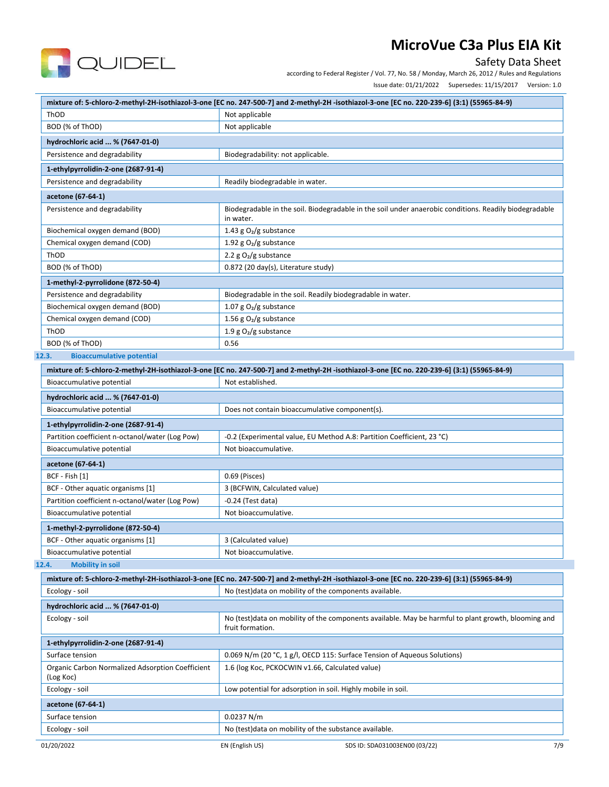

### Safety Data Sheet

according to Federal Register / Vol. 77, No. 58 / Monday, March 26, 2012 / Rules and Regulations

Issue date: 01/21/2022 Supersedes: 11/15/2017 Version: 1.0

|                                                                      | mixture of: 5-chloro-2-methyl-2H-isothiazol-3-one [EC no. 247-500-7] and 2-methyl-2H-isothiazol-3-one [EC no. 220-239-6] (3:1) (55965-84-9)  |  |  |  |
|----------------------------------------------------------------------|----------------------------------------------------------------------------------------------------------------------------------------------|--|--|--|
| ThOD                                                                 | Not applicable                                                                                                                               |  |  |  |
| BOD (% of ThOD)                                                      | Not applicable                                                                                                                               |  |  |  |
| hydrochloric acid  % (7647-01-0)                                     |                                                                                                                                              |  |  |  |
| Persistence and degradability<br>Biodegradability: not applicable.   |                                                                                                                                              |  |  |  |
| 1-ethylpyrrolidin-2-one (2687-91-4)                                  |                                                                                                                                              |  |  |  |
| Persistence and degradability                                        | Readily biodegradable in water.                                                                                                              |  |  |  |
| acetone (67-64-1)                                                    |                                                                                                                                              |  |  |  |
| Persistence and degradability                                        | Biodegradable in the soil. Biodegradable in the soil under anaerobic conditions. Readily biodegradable<br>in water.                          |  |  |  |
| Biochemical oxygen demand (BOD)                                      | 1.43 g $O2/g$ substance                                                                                                                      |  |  |  |
| Chemical oxygen demand (COD)                                         | 1.92 g $O_2/g$ substance                                                                                                                     |  |  |  |
| ThOD                                                                 | 2.2 $g O2/g$ substance                                                                                                                       |  |  |  |
| BOD (% of ThOD)                                                      | 0.872 (20 day(s), Literature study)                                                                                                          |  |  |  |
| 1-methyl-2-pyrrolidone (872-50-4)                                    |                                                                                                                                              |  |  |  |
| Persistence and degradability                                        | Biodegradable in the soil. Readily biodegradable in water.                                                                                   |  |  |  |
| Biochemical oxygen demand (BOD)                                      | 1.07 g $O_2/g$ substance                                                                                                                     |  |  |  |
| Chemical oxygen demand (COD)                                         | 1.56 g $O_2/g$ substance                                                                                                                     |  |  |  |
| ThOD                                                                 | 1.9 g $O_2/g$ substance                                                                                                                      |  |  |  |
| BOD (% of ThOD)                                                      | 0.56                                                                                                                                         |  |  |  |
| <b>Bioaccumulative potential</b><br>12.3.                            |                                                                                                                                              |  |  |  |
|                                                                      | mixture of: 5-chloro-2-methyl-2H-isothiazol-3-one [EC no. 247-500-7] and 2-methyl-2H -isothiazol-3-one [EC no. 220-239-6] (3:1) (55965-84-9) |  |  |  |
| Bioaccumulative potential                                            | Not established.                                                                                                                             |  |  |  |
| hydrochloric acid  % (7647-01-0)                                     |                                                                                                                                              |  |  |  |
| Bioaccumulative potential                                            | Does not contain bioaccumulative component(s).                                                                                               |  |  |  |
|                                                                      |                                                                                                                                              |  |  |  |
| 1-ethylpyrrolidin-2-one (2687-91-4)                                  |                                                                                                                                              |  |  |  |
| Partition coefficient n-octanol/water (Log Pow)                      | -0.2 (Experimental value, EU Method A.8: Partition Coefficient, 23 °C)                                                                       |  |  |  |
| Bioaccumulative potential                                            | Not bioaccumulative.                                                                                                                         |  |  |  |
| acetone (67-64-1)                                                    |                                                                                                                                              |  |  |  |
| BCF - Fish [1]                                                       | 0.69 (Pisces)                                                                                                                                |  |  |  |
| BCF - Other aquatic organisms [1]                                    | 3 (BCFWIN, Calculated value)                                                                                                                 |  |  |  |
| Partition coefficient n-octanol/water (Log Pow)                      | $-0.24$ (Test data)                                                                                                                          |  |  |  |
| Bioaccumulative potential                                            | Not bioaccumulative.                                                                                                                         |  |  |  |
| 1-methyl-2-pyrrolidone (872-50-4)                                    |                                                                                                                                              |  |  |  |
| BCF - Other aquatic organisms [1]                                    | 3 (Calculated value)                                                                                                                         |  |  |  |
| Bioaccumulative potential                                            | Not bioaccumulative.                                                                                                                         |  |  |  |
| 12.4.<br><b>Mobility in soil</b>                                     |                                                                                                                                              |  |  |  |
|                                                                      | mixture of: 5-chloro-2-methyl-2H-isothiazol-3-one [EC no. 247-500-7] and 2-methyl-2H-isothiazol-3-one [EC no. 220-239-6] (3:1) (55965-84-9)  |  |  |  |
| Ecology - soil                                                       | No (test) data on mobility of the components available.                                                                                      |  |  |  |
| hydrochloric acid  % (7647-01-0)                                     |                                                                                                                                              |  |  |  |
| Ecology - soil                                                       | No (test)data on mobility of the components available. May be harmful to plant growth, blooming and<br>fruit formation.                      |  |  |  |
| 1-ethylpyrrolidin-2-one (2687-91-4)                                  |                                                                                                                                              |  |  |  |
| Surface tension                                                      | 0.069 N/m (20 °C, 1 g/l, OECD 115: Surface Tension of Aqueous Solutions)                                                                     |  |  |  |
| <b>Organic Carbon Normalized Adsorption Coefficient</b><br>(Log Koc) | 1.6 (log Koc, PCKOCWIN v1.66, Calculated value)                                                                                              |  |  |  |
| Ecology - soil                                                       | Low potential for adsorption in soil. Highly mobile in soil.                                                                                 |  |  |  |
| acetone (67-64-1)                                                    |                                                                                                                                              |  |  |  |
| Surface tension                                                      | 0.0237 N/m                                                                                                                                   |  |  |  |
| Ecology - soil                                                       | No (test) data on mobility of the substance available.                                                                                       |  |  |  |
| 01/20/2022                                                           | 7/9<br>EN (English US)<br>SDS ID: SDA031003EN00 (03/22)                                                                                      |  |  |  |
|                                                                      |                                                                                                                                              |  |  |  |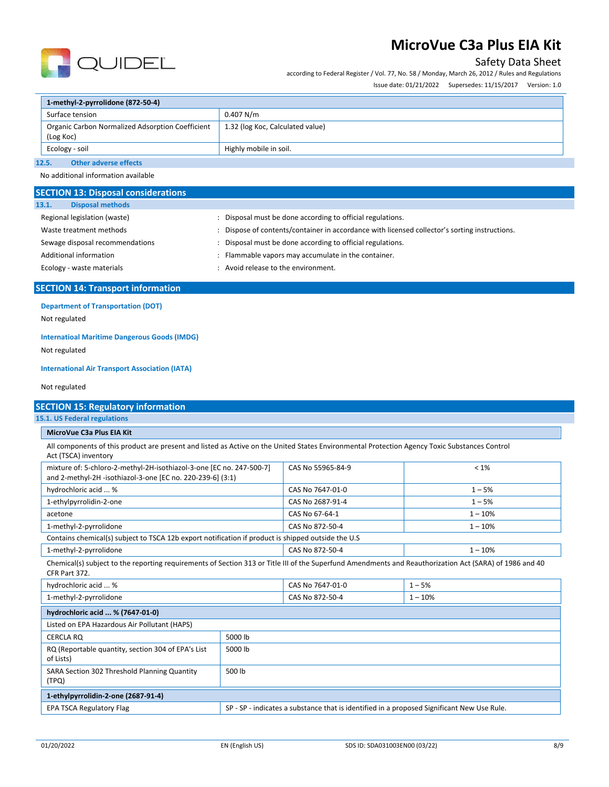

## Safety Data Sheet

according to Federal Register / Vol. 77, No. 58 / Monday, March 26, 2012 / Rules and Regulations

Issue date: 01/21/2022 Supersedes: 11/15/2017 Version: 1.0

| 1-methyl-2-pyrrolidone (872-50-4)                             |                                  |  |
|---------------------------------------------------------------|----------------------------------|--|
| Surface tension                                               | $0.407$ N/m                      |  |
| Organic Carbon Normalized Adsorption Coefficient<br>(Log Koc) | 1.32 (log Koc, Calculated value) |  |
| Ecology - soil                                                | Highly mobile in soil.           |  |
| <b>Other adverse effects</b><br>12.5.                         |                                  |  |

No additional information available

| <b>SECTION 13: Disposal considerations</b> |                                                                                             |
|--------------------------------------------|---------------------------------------------------------------------------------------------|
| <b>Disposal methods</b><br>13.1.           |                                                                                             |
| Regional legislation (waste)               | Disposal must be done according to official regulations.                                    |
| Waste treatment methods                    | Dispose of contents/container in accordance with licensed collector's sorting instructions. |
| Sewage disposal recommendations            | Disposal must be done according to official regulations.                                    |
| Additional information                     | : Flammable vapors may accumulate in the container.                                         |
| Ecology - waste materials                  | : Avoid release to the environment.                                                         |
|                                            |                                                                                             |

## **SECTION 14: Transport information**

**Department of Transportation (DOT)**

Not regulated

### **Internatioal Maritime Dangerous Goods (IMDG)**

Not regulated

#### **International Air Transport Association (IATA)**

Not regulated

| <b>SECTION 15: Regulatory information</b>                                                                                                                                |         |                   |           |
|--------------------------------------------------------------------------------------------------------------------------------------------------------------------------|---------|-------------------|-----------|
| <b>15.1. US Federal regulations</b>                                                                                                                                      |         |                   |           |
| MicroVue C3a Plus EIA Kit                                                                                                                                                |         |                   |           |
| All components of this product are present and listed as Active on the United States Environmental Protection Agency Toxic Substances Control<br>Act (TSCA) inventory    |         |                   |           |
| mixture of: 5-chloro-2-methyl-2H-isothiazol-3-one [EC no. 247-500-7]<br>and 2-methyl-2H -isothiazol-3-one [EC no. 220-239-6] (3:1)                                       |         | CAS No 55965-84-9 | $< 1\%$   |
| hydrochloric acid  %                                                                                                                                                     |         | CAS No 7647-01-0  | $1 - 5%$  |
| 1-ethylpyrrolidin-2-one                                                                                                                                                  |         | CAS No 2687-91-4  | $1 - 5%$  |
| acetone                                                                                                                                                                  |         | CAS No 67-64-1    | $1 - 10%$ |
| 1-methyl-2-pyrrolidone                                                                                                                                                   |         | CAS No 872-50-4   | $1 - 10%$ |
| Contains chemical(s) subject to TSCA 12b export notification if product is shipped outside the U.S                                                                       |         |                   |           |
| 1-methyl-2-pyrrolidone                                                                                                                                                   |         | CAS No 872-50-4   | $1 - 10%$ |
| Chemical(s) subject to the reporting requirements of Section 313 or Title III of the Superfund Amendments and Reauthorization Act (SARA) of 1986 and 40<br>CFR Part 372. |         |                   |           |
| hydrochloric acid  %                                                                                                                                                     |         | CAS No 7647-01-0  | $1 - 5%$  |
| 1-methyl-2-pyrrolidone                                                                                                                                                   |         | CAS No 872-50-4   | $1 - 10%$ |
| hydrochloric acid  % (7647-01-0)                                                                                                                                         |         |                   |           |
| Listed on EPA Hazardous Air Pollutant (HAPS)                                                                                                                             |         |                   |           |
| <b>CERCLA RO</b>                                                                                                                                                         | 5000 lb |                   |           |
| RQ (Reportable quantity, section 304 of EPA's List<br>of Lists)                                                                                                          | 5000 lb |                   |           |
| SARA Section 302 Threshold Planning Quantity<br>(TPQ)                                                                                                                    | 500 lb  |                   |           |

**1-ethylpyrrolidin-2-one (2687-91-4)** EPA TSCA Regulatory Flag SP - SP - indicates a substance that is identified in a proposed Significant New Use Rule.